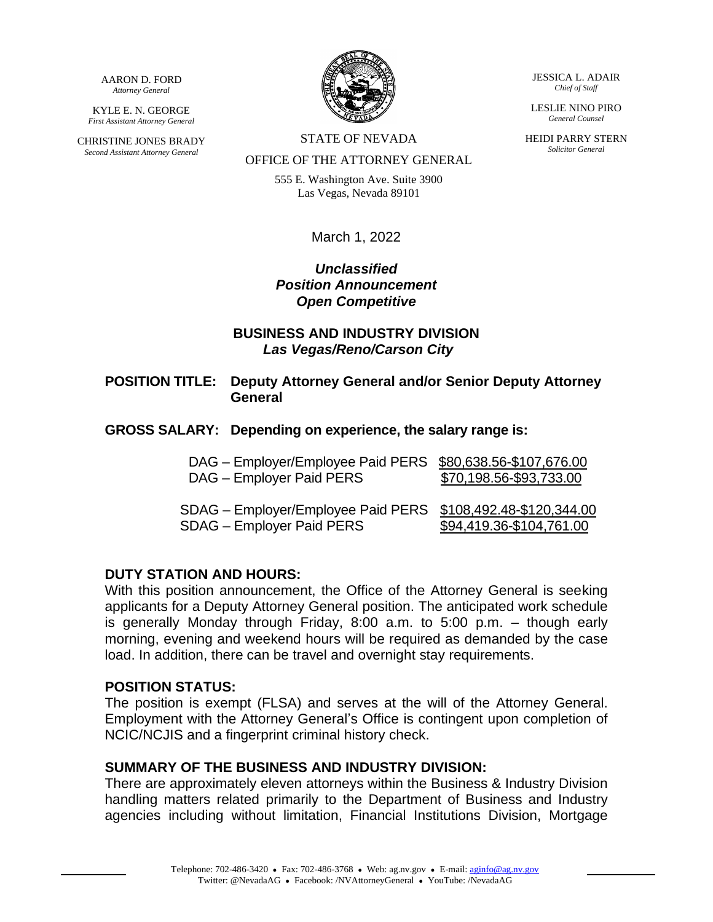AARON D. FORD *Attorney General*

KYLE E. N. GEORGE *First Assistant Attorney General*

CHRISTINE JONES BRADY *Second Assistant Attorney General*



STATE OF NEVADA

OFFICE OF THE ATTORNEY GENERAL

555 E. Washington Ave. Suite 3900 Las Vegas, Nevada 89101

March 1, 2022

# *Unclassified Position Announcement Open Competitive*

### **BUSINESS AND INDUSTRY DIVISION** *Las Vegas/Reno/Carson City*

- **POSITION TITLE: Deputy Attorney General and/or Senior Deputy Attorney General**
- **GROSS SALARY: Depending on experience, the salary range is:**

| DAG - Employer/Employee Paid PERS \$80,638.56-\$107,676.00<br>DAG - Employer Paid PERS    | \$70,198.56-\$93,733.00  |
|-------------------------------------------------------------------------------------------|--------------------------|
| SDAG - Employer/Employee Paid PERS \$108,492.48-\$120,344.00<br>SDAG - Employer Paid PERS | \$94,419.36-\$104,761.00 |

#### **DUTY STATION AND HOURS:**

With this position announcement, the Office of the Attorney General is seeking applicants for a Deputy Attorney General position. The anticipated work schedule is generally Monday through Friday, 8:00 a.m. to 5:00 p.m. – though early morning, evening and weekend hours will be required as demanded by the case load. In addition, there can be travel and overnight stay requirements.

#### **POSITION STATUS:**

The position is exempt (FLSA) and serves at the will of the Attorney General. Employment with the Attorney General's Office is contingent upon completion of NCIC/NCJIS and a fingerprint criminal history check.

#### **SUMMARY OF THE BUSINESS AND INDUSTRY DIVISION:**

There are approximately eleven attorneys within the Business & Industry Division handling matters related primarily to the Department of Business and Industry agencies including without limitation, Financial Institutions Division, Mortgage

JESSICA L. ADAIR *Chief of Staff*

LESLIE NINO PIRO *General Counsel*

HEIDI PARRY STERN *Solicitor General*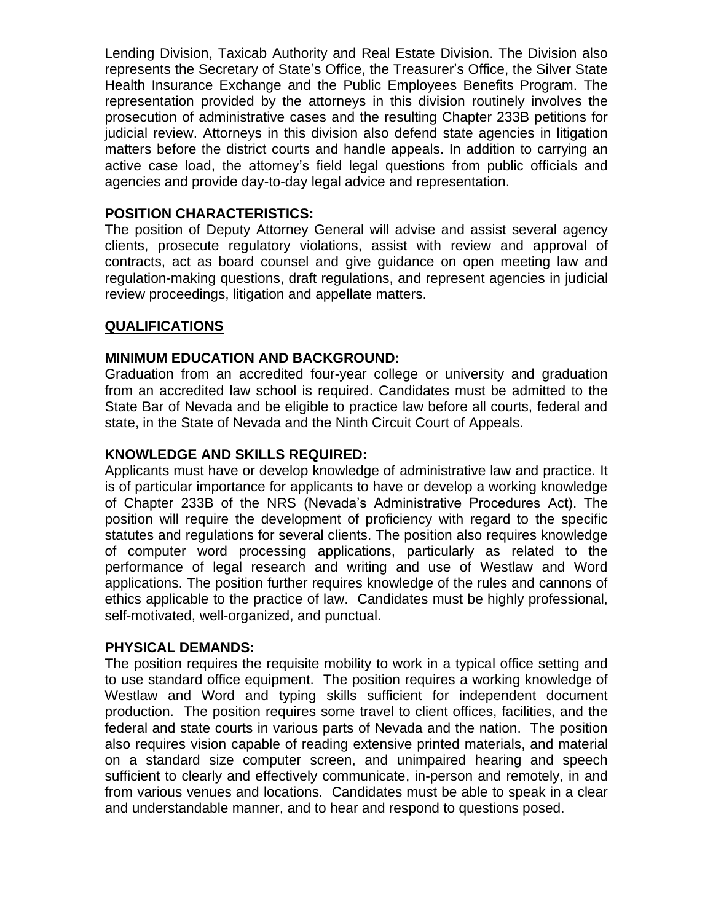Lending Division, Taxicab Authority and Real Estate Division. The Division also represents the Secretary of State's Office, the Treasurer's Office, the Silver State Health Insurance Exchange and the Public Employees Benefits Program. The representation provided by the attorneys in this division routinely involves the prosecution of administrative cases and the resulting Chapter 233B petitions for judicial review. Attorneys in this division also defend state agencies in litigation matters before the district courts and handle appeals. In addition to carrying an active case load, the attorney's field legal questions from public officials and agencies and provide day-to-day legal advice and representation.

# **POSITION CHARACTERISTICS:**

The position of Deputy Attorney General will advise and assist several agency clients, prosecute regulatory violations, assist with review and approval of contracts, act as board counsel and give guidance on open meeting law and regulation-making questions, draft regulations, and represent agencies in judicial review proceedings, litigation and appellate matters.

# **QUALIFICATIONS**

### **MINIMUM EDUCATION AND BACKGROUND:**

Graduation from an accredited four-year college or university and graduation from an accredited law school is required. Candidates must be admitted to the State Bar of Nevada and be eligible to practice law before all courts, federal and state, in the State of Nevada and the Ninth Circuit Court of Appeals.

# **KNOWLEDGE AND SKILLS REQUIRED:**

Applicants must have or develop knowledge of administrative law and practice. It is of particular importance for applicants to have or develop a working knowledge of Chapter 233B of the NRS (Nevada's Administrative Procedures Act). The position will require the development of proficiency with regard to the specific statutes and regulations for several clients. The position also requires knowledge of computer word processing applications, particularly as related to the performance of legal research and writing and use of Westlaw and Word applications. The position further requires knowledge of the rules and cannons of ethics applicable to the practice of law. Candidates must be highly professional, self-motivated, well-organized, and punctual.

### **PHYSICAL DEMANDS:**

The position requires the requisite mobility to work in a typical office setting and to use standard office equipment. The position requires a working knowledge of Westlaw and Word and typing skills sufficient for independent document production. The position requires some travel to client offices, facilities, and the federal and state courts in various parts of Nevada and the nation. The position also requires vision capable of reading extensive printed materials, and material on a standard size computer screen, and unimpaired hearing and speech sufficient to clearly and effectively communicate, in-person and remotely, in and from various venues and locations. Candidates must be able to speak in a clear and understandable manner, and to hear and respond to questions posed.